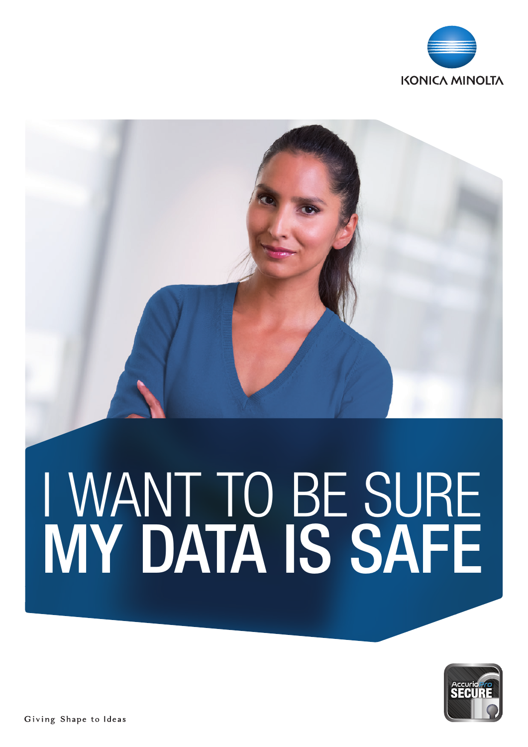

# I WANT TO BE SURE MY DATA IS SAFE

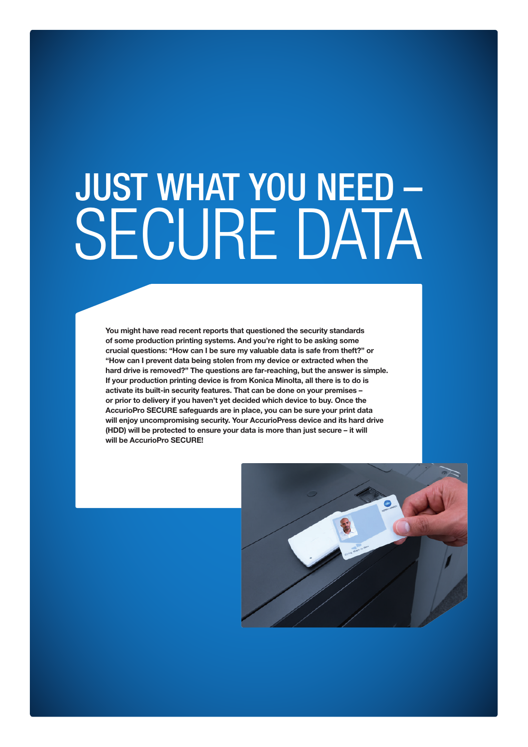## JUST WHAT YOU NEED – SECURE DATA

You might have read recent reports that questioned the security standards of some production printing systems. And you're right to be asking some crucial questions: "How can I be sure my valuable data is safe from theft?" or "How can I prevent data being stolen from my device or extracted when the hard drive is removed?" The questions are far-reaching, but the answer is simple. If your production printing device is from Konica Minolta, all there is to do is activate its built-in security features. That can be done on your premises – or prior to delivery if you haven't yet decided which device to buy. Once the AccurioPro SECURE safeguards are in place, you can be sure your print data will enjoy uncompromising security. Your AccurioPress device and its hard drive (HDD) will be protected to ensure your data is more than just secure – it will will be AccurioPro SECURE!

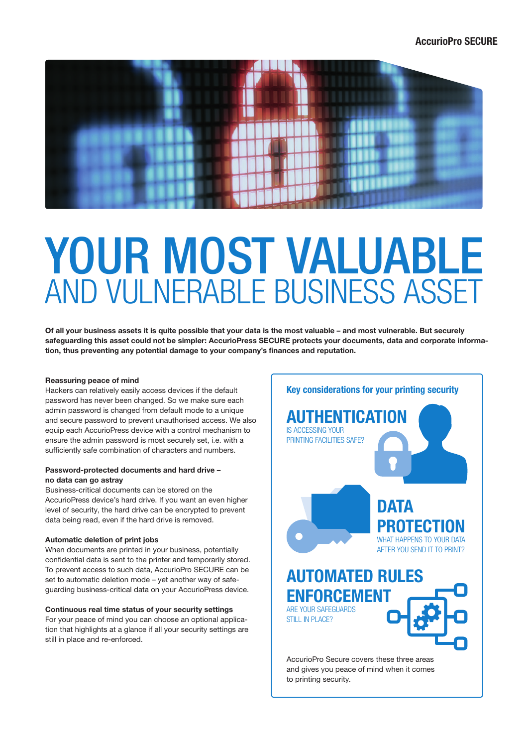

## YOUR MOST VALUABLE AND VULNERABLE BUSINESS ASSET

Of all your business assets it is quite possible that your data is the most valuable – and most vulnerable. But securely safeguarding this asset could not be simpler: AccurioPress SECURE protects your documents, data and corporate information, thus preventing any potential damage to your company's finances and reputation.

### Reassuring peace of mind

Hackers can relatively easily access devices if the default password has never been changed. So we make sure each admin password is changed from default mode to a unique and secure password to prevent unauthorised access. We also equip each AccurioPress device with a control mechanism to ensure the admin password is most securely set, i.e. with a sufficiently safe combination of characters and numbers.

### Password-protected documents and hard drive – no data can go astray

Business-critical documents can be stored on the AccurioPress device's hard drive. If you want an even higher level of security, the hard drive can be encrypted to prevent data being read, even if the hard drive is removed.

### Automatic deletion of print jobs

When documents are printed in your business, potentially confidential data is sent to the printer and temporarily stored. To prevent access to such data, AccurioPro SECURE can be set to automatic deletion mode – yet another way of safeguarding business-critical data on your AccurioPress device.

### Continuous real time status of your security settings

For your peace of mind you can choose an optional application that highlights at a glance if all your security settings are still in place and re-enforced.